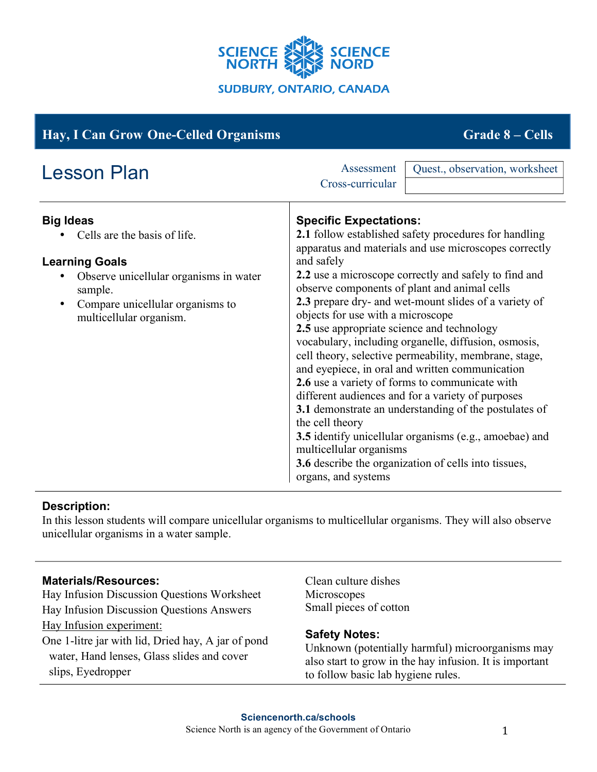

| <b>Hay, I Can Grow One-Celled Organisms</b>                                                                                                                                                   | <b>Grade 8 – Cells</b>                                                                                                                                                                                                                                                                                                                                                                                                                                                                                                                                                                                                                                                                                                                                                                                                                                                                                                                        |
|-----------------------------------------------------------------------------------------------------------------------------------------------------------------------------------------------|-----------------------------------------------------------------------------------------------------------------------------------------------------------------------------------------------------------------------------------------------------------------------------------------------------------------------------------------------------------------------------------------------------------------------------------------------------------------------------------------------------------------------------------------------------------------------------------------------------------------------------------------------------------------------------------------------------------------------------------------------------------------------------------------------------------------------------------------------------------------------------------------------------------------------------------------------|
| <b>Lesson Plan</b>                                                                                                                                                                            | Quest., observation, worksheet<br>Assessment<br>Cross-curricular                                                                                                                                                                                                                                                                                                                                                                                                                                                                                                                                                                                                                                                                                                                                                                                                                                                                              |
| <b>Big Ideas</b><br>Cells are the basis of life.<br><b>Learning Goals</b><br>Observe unicellular organisms in water<br>sample.<br>Compare unicellular organisms to<br>multicellular organism. | <b>Specific Expectations:</b><br>2.1 follow established safety procedures for handling<br>apparatus and materials and use microscopes correctly<br>and safely<br>2.2 use a microscope correctly and safely to find and<br>observe components of plant and animal cells<br>2.3 prepare dry- and wet-mount slides of a variety of<br>objects for use with a microscope<br>2.5 use appropriate science and technology<br>vocabulary, including organelle, diffusion, osmosis,<br>cell theory, selective permeability, membrane, stage,<br>and eyepiece, in oral and written communication<br>2.6 use a variety of forms to communicate with<br>different audiences and for a variety of purposes<br>3.1 demonstrate an understanding of the postulates of<br>the cell theory<br>3.5 identify unicellular organisms (e.g., amoebae) and<br>multicellular organisms<br>3.6 describe the organization of cells into tissues,<br>organs, and systems |

# **Description:**

In this lesson students will compare unicellular organisms to multicellular organisms. They will also observe unicellular organisms in a water sample.

# **Materials/Resources:**

Hay Infusion Discussion Questions Worksheet Hay Infusion Discussion Questions Answers Hay Infusion experiment: One 1-litre jar with lid, Dried hay, A jar of pond water, Hand lenses, Glass slides and cover slips, Eyedropper

Clean culture dishes Microscopes Small pieces of cotton

#### **Safety Notes:**

Unknown (potentially harmful) microorganisms may also start to grow in the hay infusion. It is important to follow basic lab hygiene rules.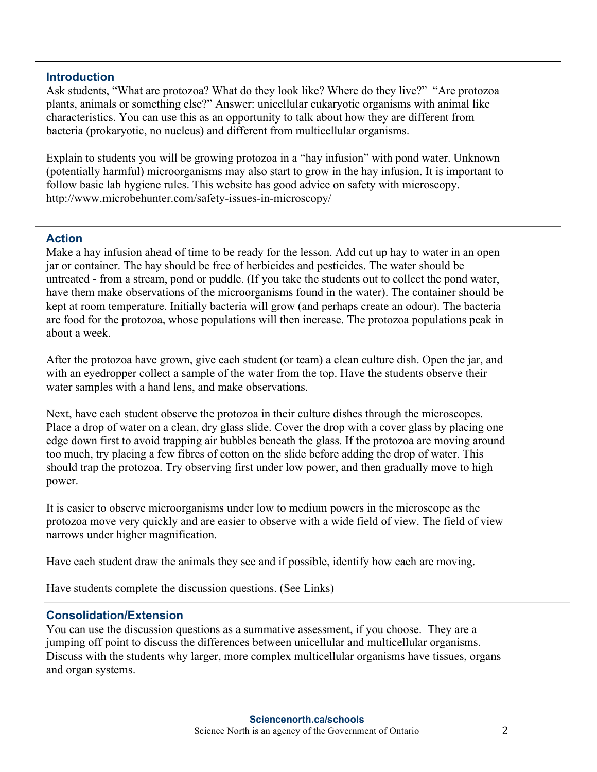### **Introduction**

Ask students, "What are protozoa? What do they look like? Where do they live?" "Are protozoa plants, animals or something else?" Answer: unicellular eukaryotic organisms with animal like characteristics. You can use this as an opportunity to talk about how they are different from bacteria (prokaryotic, no nucleus) and different from multicellular organisms.

Explain to students you will be growing protozoa in a "hay infusion" with pond water. Unknown (potentially harmful) microorganisms may also start to grow in the hay infusion. It is important to follow basic lab hygiene rules. This website has good advice on safety with microscopy. http://www.microbehunter.com/safety-issues-in-microscopy/

### **Action**

Make a hay infusion ahead of time to be ready for the lesson. Add cut up hay to water in an open jar or container. The hay should be free of herbicides and pesticides. The water should be untreated - from a stream, pond or puddle. (If you take the students out to collect the pond water, have them make observations of the microorganisms found in the water). The container should be kept at room temperature. Initially bacteria will grow (and perhaps create an odour). The bacteria are food for the protozoa, whose populations will then increase. The protozoa populations peak in about a week.

After the protozoa have grown, give each student (or team) a clean culture dish. Open the jar, and with an eyedropper collect a sample of the water from the top. Have the students observe their water samples with a hand lens, and make observations.

Next, have each student observe the protozoa in their culture dishes through the microscopes. Place a drop of water on a clean, dry glass slide. Cover the drop with a cover glass by placing one edge down first to avoid trapping air bubbles beneath the glass. If the protozoa are moving around too much, try placing a few fibres of cotton on the slide before adding the drop of water. This should trap the protozoa. Try observing first under low power, and then gradually move to high power.

It is easier to observe microorganisms under low to medium powers in the microscope as the protozoa move very quickly and are easier to observe with a wide field of view. The field of view narrows under higher magnification.

Have each student draw the animals they see and if possible, identify how each are moving.

Have students complete the discussion questions. (See Links)

# **Consolidation/Extension**

You can use the discussion questions as a summative assessment, if you choose. They are a jumping off point to discuss the differences between unicellular and multicellular organisms. Discuss with the students why larger, more complex multicellular organisms have tissues, organs and organ systems.